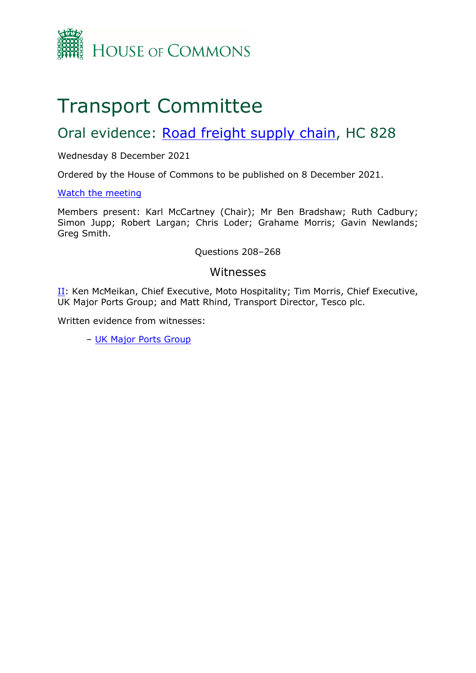

# Transport Committee

## Oral evidence: [Road](https://committees.parliament.uk/work/1587/road-freight-supply-chain/) [freight](https://committees.parliament.uk/work/1587/road-freight-supply-chain/) [supply](https://committees.parliament.uk/work/1587/road-freight-supply-chain/) [chain](https://committees.parliament.uk/work/1587/road-freight-supply-chain/), HC 828

## Wednesday 8 December 2021

Ordered by the House of Commons to be published on 8 December 2021.

## [Watch](https://parliamentlive.tv/event/index/52bba869-1224-4df6-afd9-49cccff4bf32?in=10:39:29) [the](https://parliamentlive.tv/event/index/52bba869-1224-4df6-afd9-49cccff4bf32?in=10:39:29) [meeting](https://parliamentlive.tv/event/index/52bba869-1224-4df6-afd9-49cccff4bf32?in=10:39:29)

Members present: Karl McCartney (Chair); Mr Ben Bradshaw; Ruth Cadbury; Simon Jupp; Robert Largan; Chris Loder; Grahame Morris; Gavin Newlands; Greg Smith.

## Questions 208–268

## Witnesses

[II](#page-1-0): Ken McMeikan, Chief Executive, Moto Hospitality; Tim Morris, Chief Executive, UK Major Ports Group; and Matt Rhind, Transport Director, Tesco plc.

Written evidence from witnesses:

– [UK](https://committees.parliament.uk/writtenevidence/41024/pdf/) [Major](https://committees.parliament.uk/writtenevidence/41024/pdf/) [Ports](https://committees.parliament.uk/writtenevidence/41024/pdf/) [Group](https://committees.parliament.uk/writtenevidence/41024/pdf/)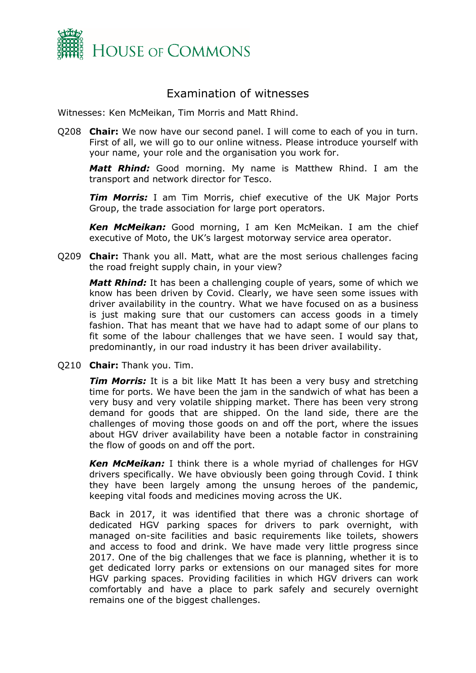

## <span id="page-1-0"></span>Examination of witnesses

Witnesses: Ken McMeikan, Tim Morris and Matt Rhind.

Q208 **Chair:** We now have our second panel. I will come to each of you in turn. First of all, we will go to our online witness. Please introduce yourself with your name, your role and the organisation you work for.

*Matt Rhind:* Good morning. My name is Matthew Rhind. I am the transport and network director for Tesco.

*Tim Morris:* I am Tim Morris, chief executive of the UK Major Ports Group, the trade association for large port operators.

*Ken McMeikan:* Good morning, I am Ken McMeikan. I am the chief executive of Moto, the UK's largest motorway service area operator.

Q209 **Chair:** Thank you all. Matt, what are the most serious challenges facing the road freight supply chain, in your view?

*Matt Rhind:* It has been a challenging couple of years, some of which we know has been driven by Covid. Clearly, we have seen some issues with driver availability in the country. What we have focused on as a business is just making sure that our customers can access goods in a timely fashion. That has meant that we have had to adapt some of our plans to fit some of the labour challenges that we have seen. I would say that, predominantly, in our road industry it has been driver availability.

Q210 **Chair:** Thank you. Tim.

*Tim Morris:* It is a bit like Matt It has been a very busy and stretching time for ports. We have been the jam in the sandwich of what has been a very busy and very volatile shipping market. There has been very strong demand for goods that are shipped. On the land side, there are the challenges of moving those goods on and off the port, where the issues about HGV driver availability have been a notable factor in constraining the flow of goods on and off the port.

*Ken McMeikan:* I think there is a whole myriad of challenges for HGV drivers specifically. We have obviously been going through Covid. I think they have been largely among the unsung heroes of the pandemic, keeping vital foods and medicines moving across the UK.

Back in 2017, it was identified that there was a chronic shortage of dedicated HGV parking spaces for drivers to park overnight, with managed on-site facilities and basic requirements like toilets, showers and access to food and drink. We have made very little progress since 2017. One of the big challenges that we face is planning, whether it is to get dedicated lorry parks or extensions on our managed sites for more HGV parking spaces. Providing facilities in which HGV drivers can work comfortably and have a place to park safely and securely overnight remains one of the biggest challenges.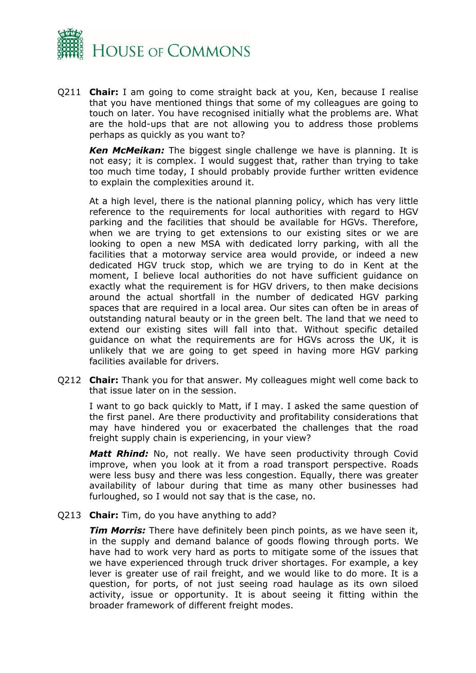

Q211 **Chair:** I am going to come straight back at you, Ken, because I realise that you have mentioned things that some of my colleagues are going to touch on later. You have recognised initially what the problems are. What are the hold-ups that are not allowing you to address those problems perhaps as quickly as you want to?

*Ken McMeikan:* The biggest single challenge we have is planning. It is not easy; it is complex. I would suggest that, rather than trying to take too much time today, I should probably provide further written evidence to explain the complexities around it.

At a high level, there is the national planning policy, which has very little reference to the requirements for local authorities with regard to HGV parking and the facilities that should be available for HGVs. Therefore, when we are trying to get extensions to our existing sites or we are looking to open a new MSA with dedicated lorry parking, with all the facilities that a motorway service area would provide, or indeed a new dedicated HGV truck stop, which we are trying to do in Kent at the moment, I believe local authorities do not have sufficient guidance on exactly what the requirement is for HGV drivers, to then make decisions around the actual shortfall in the number of dedicated HGV parking spaces that are required in a local area. Our sites can often be in areas of outstanding natural beauty or in the green belt. The land that we need to extend our existing sites will fall into that. Without specific detailed guidance on what the requirements are for HGVs across the UK, it is unlikely that we are going to get speed in having more HGV parking facilities available for drivers.

Q212 **Chair:** Thank you for that answer. My colleagues might well come back to that issue later on in the session.

I want to go back quickly to Matt, if I may. I asked the same question of the first panel. Are there productivity and profitability considerations that may have hindered you or exacerbated the challenges that the road freight supply chain is experiencing, in your view?

*Matt Rhind:* No, not really. We have seen productivity through Covid improve, when you look at it from a road transport perspective. Roads were less busy and there was less congestion. Equally, there was greater availability of labour during that time as many other businesses had furloughed, so I would not say that is the case, no.

Q213 **Chair:** Tim, do you have anything to add?

*Tim Morris:* There have definitely been pinch points, as we have seen it, in the supply and demand balance of goods flowing through ports. We have had to work very hard as ports to mitigate some of the issues that we have experienced through truck driver shortages. For example, a key lever is greater use of rail freight, and we would like to do more. It is a question, for ports, of not just seeing road haulage as its own siloed activity, issue or opportunity. It is about seeing it fitting within the broader framework of different freight modes.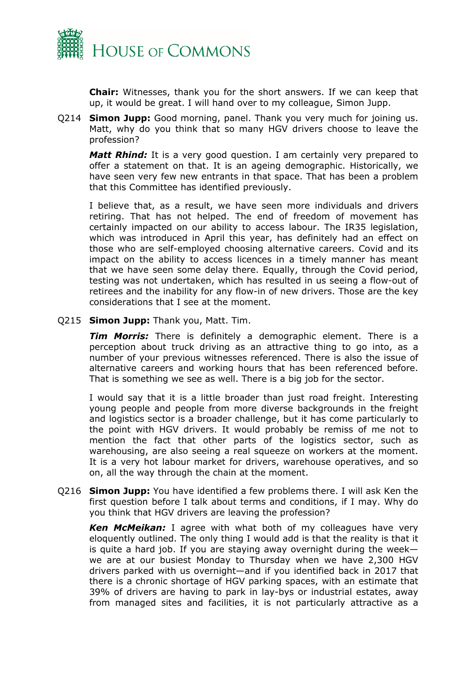

**Chair:** Witnesses, thank you for the short answers. If we can keep that up, it would be great. I will hand over to my colleague, Simon Jupp.

Q214 **Simon Jupp:** Good morning, panel. Thank you very much for joining us. Matt, why do you think that so many HGV drivers choose to leave the profession?

*Matt Rhind:* It is a very good question. I am certainly very prepared to offer a statement on that. It is an ageing demographic. Historically, we have seen very few new entrants in that space. That has been a problem that this Committee has identified previously.

I believe that, as a result, we have seen more individuals and drivers retiring. That has not helped. The end of freedom of movement has certainly impacted on our ability to access labour. The IR35 legislation, which was introduced in April this year, has definitely had an effect on those who are self-employed choosing alternative careers. Covid and its impact on the ability to access licences in a timely manner has meant that we have seen some delay there. Equally, through the Covid period, testing was not undertaken, which has resulted in us seeing a flow-out of retirees and the inability for any flow-in of new drivers. Those are the key considerations that I see at the moment.

Q215 **Simon Jupp:** Thank you, Matt. Tim.

*Tim Morris:* There is definitely a demographic element. There is a perception about truck driving as an attractive thing to go into, as a number of your previous witnesses referenced. There is also the issue of alternative careers and working hours that has been referenced before. That is something we see as well. There is a big job for the sector.

I would say that it is a little broader than just road freight. Interesting young people and people from more diverse backgrounds in the freight and logistics sector is a broader challenge, but it has come particularly to the point with HGV drivers. It would probably be remiss of me not to mention the fact that other parts of the logistics sector, such as warehousing, are also seeing a real squeeze on workers at the moment. It is a very hot labour market for drivers, warehouse operatives, and so on, all the way through the chain at the moment.

Q216 **Simon Jupp:** You have identified a few problems there. I will ask Ken the first question before I talk about terms and conditions, if I may. Why do you think that HGV drivers are leaving the profession?

*Ken McMeikan:* I agree with what both of my colleagues have very eloquently outlined. The only thing I would add is that the reality is that it is quite a hard job. If you are staying away overnight during the week we are at our busiest Monday to Thursday when we have 2,300 HGV drivers parked with us overnight—and if you identified back in 2017 that there is a chronic shortage of HGV parking spaces, with an estimate that 39% of drivers are having to park in lay-bys or industrial estates, away from managed sites and facilities, it is not particularly attractive as a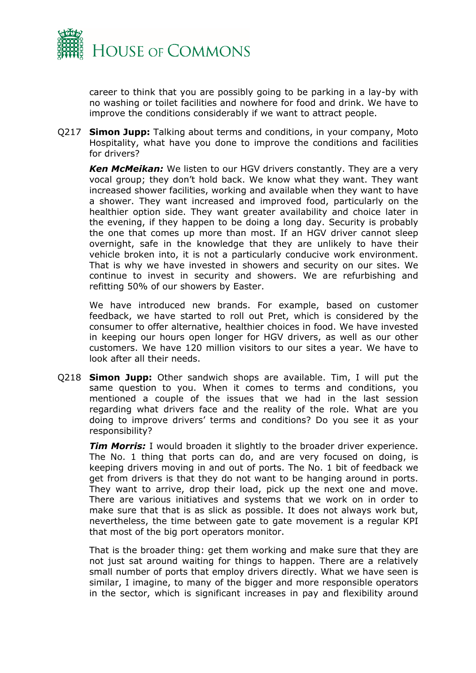

career to think that you are possibly going to be parking in a lay-by with no washing or toilet facilities and nowhere for food and drink. We have to improve the conditions considerably if we want to attract people.

Q217 **Simon Jupp:** Talking about terms and conditions, in your company, Moto Hospitality, what have you done to improve the conditions and facilities for drivers?

*Ken McMeikan:* We listen to our HGV drivers constantly. They are a very vocal group; they don't hold back. We know what they want. They want increased shower facilities, working and available when they want to have a shower. They want increased and improved food, particularly on the healthier option side. They want greater availability and choice later in the evening, if they happen to be doing a long day. Security is probably the one that comes up more than most. If an HGV driver cannot sleep overnight, safe in the knowledge that they are unlikely to have their vehicle broken into, it is not a particularly conducive work environment. That is why we have invested in showers and security on our sites. We continue to invest in security and showers. We are refurbishing and refitting 50% of our showers by Easter.

We have introduced new brands. For example, based on customer feedback, we have started to roll out Pret, which is considered by the consumer to offer alternative, healthier choices in food. We have invested in keeping our hours open longer for HGV drivers, as well as our other customers. We have 120 million visitors to our sites a year. We have to look after all their needs.

Q218 **Simon Jupp:** Other sandwich shops are available. Tim, I will put the same question to you. When it comes to terms and conditions, you mentioned a couple of the issues that we had in the last session regarding what drivers face and the reality of the role. What are you doing to improve drivers' terms and conditions? Do you see it as your responsibility?

*Tim Morris:* I would broaden it slightly to the broader driver experience. The No. 1 thing that ports can do, and are very focused on doing, is keeping drivers moving in and out of ports. The No. 1 bit of feedback we get from drivers is that they do not want to be hanging around in ports. They want to arrive, drop their load, pick up the next one and move. There are various initiatives and systems that we work on in order to make sure that that is as slick as possible. It does not always work but, nevertheless, the time between gate to gate movement is a regular KPI that most of the big port operators monitor.

That is the broader thing: get them working and make sure that they are not just sat around waiting for things to happen. There are a relatively small number of ports that employ drivers directly. What we have seen is similar, I imagine, to many of the bigger and more responsible operators in the sector, which is significant increases in pay and flexibility around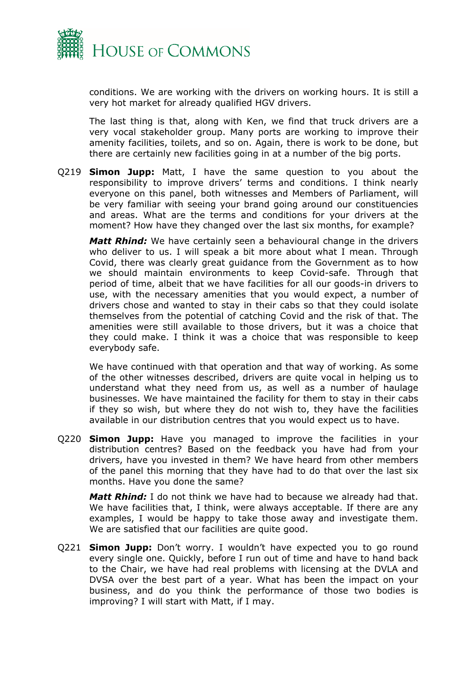

conditions. We are working with the drivers on working hours. It is still a very hot market for already qualified HGV drivers.

The last thing is that, along with Ken, we find that truck drivers are a very vocal stakeholder group. Many ports are working to improve their amenity facilities, toilets, and so on. Again, there is work to be done, but there are certainly new facilities going in at a number of the big ports.

Q219 **Simon Jupp:** Matt, I have the same question to you about the responsibility to improve drivers' terms and conditions. I think nearly everyone on this panel, both witnesses and Members of Parliament, will be very familiar with seeing your brand going around our constituencies and areas. What are the terms and conditions for your drivers at the moment? How have they changed over the last six months, for example?

*Matt Rhind:* We have certainly seen a behavioural change in the drivers who deliver to us. I will speak a bit more about what I mean. Through Covid, there was clearly great guidance from the Government as to how we should maintain environments to keep Covid-safe. Through that period of time, albeit that we have facilities for all our goods-in drivers to use, with the necessary amenities that you would expect, a number of drivers chose and wanted to stay in their cabs so that they could isolate themselves from the potential of catching Covid and the risk of that. The amenities were still available to those drivers, but it was a choice that they could make. I think it was a choice that was responsible to keep everybody safe.

We have continued with that operation and that way of working. As some of the other witnesses described, drivers are quite vocal in helping us to understand what they need from us, as well as a number of haulage businesses. We have maintained the facility for them to stay in their cabs if they so wish, but where they do not wish to, they have the facilities available in our distribution centres that you would expect us to have.

Q220 **Simon Jupp:** Have you managed to improve the facilities in your distribution centres? Based on the feedback you have had from your drivers, have you invested in them? We have heard from other members of the panel this morning that they have had to do that over the last six months. Have you done the same?

*Matt Rhind:* I do not think we have had to because we already had that. We have facilities that, I think, were always acceptable. If there are any examples, I would be happy to take those away and investigate them. We are satisfied that our facilities are quite good.

Q221 **Simon Jupp:** Don't worry. I wouldn't have expected you to go round every single one. Quickly, before I run out of time and have to hand back to the Chair, we have had real problems with licensing at the DVLA and DVSA over the best part of a year. What has been the impact on your business, and do you think the performance of those two bodies is improving? I will start with Matt, if I may.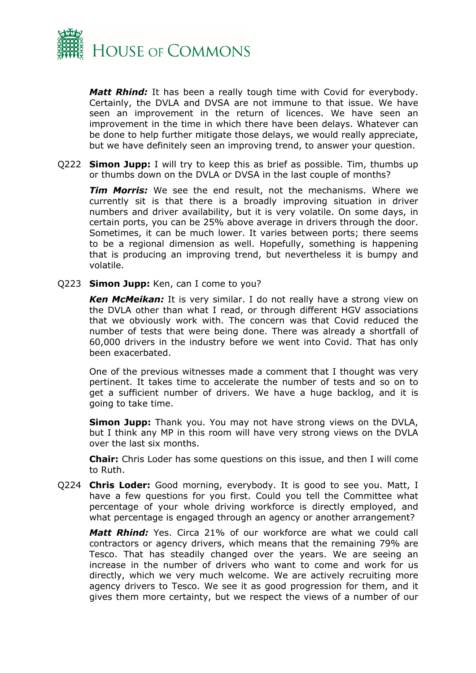

*Matt Rhind:* It has been a really tough time with Covid for everybody. Certainly, the DVLA and DVSA are not immune to that issue. We have seen an improvement in the return of licences. We have seen an improvement in the time in which there have been delays. Whatever can be done to help further mitigate those delays, we would really appreciate, but we have definitely seen an improving trend, to answer your question.

Q222 **Simon Jupp:** I will try to keep this as brief as possible. Tim, thumbs up or thumbs down on the DVLA or DVSA in the last couple of months?

*Tim Morris:* We see the end result, not the mechanisms. Where we currently sit is that there is a broadly improving situation in driver numbers and driver availability, but it is very volatile. On some days, in certain ports, you can be 25% above average in drivers through the door. Sometimes, it can be much lower. It varies between ports; there seems to be a regional dimension as well. Hopefully, something is happening that is producing an improving trend, but nevertheless it is bumpy and volatile.

Q223 **Simon Jupp:** Ken, can I come to you?

*Ken McMeikan:* It is very similar. I do not really have a strong view on the DVLA other than what I read, or through different HGV associations that we obviously work with. The concern was that Covid reduced the number of tests that were being done. There was already a shortfall of 60,000 drivers in the industry before we went into Covid. That has only been exacerbated.

One of the previous witnesses made a comment that I thought was very pertinent. It takes time to accelerate the number of tests and so on to get a sufficient number of drivers. We have a huge backlog, and it is going to take time.

**Simon Jupp:** Thank you. You may not have strong views on the DVLA, but I think any MP in this room will have very strong views on the DVLA over the last six months.

**Chair:** Chris Loder has some questions on this issue, and then I will come to Ruth.

Q224 **Chris Loder:** Good morning, everybody. It is good to see you. Matt, I have a few questions for you first. Could you tell the Committee what percentage of your whole driving workforce is directly employed, and what percentage is engaged through an agency or another arrangement?

*Matt Rhind:* Yes. Circa 21% of our workforce are what we could call contractors or agency drivers, which means that the remaining 79% are Tesco. That has steadily changed over the years. We are seeing an increase in the number of drivers who want to come and work for us directly, which we very much welcome. We are actively recruiting more agency drivers to Tesco. We see it as good progression for them, and it gives them more certainty, but we respect the views of a number of our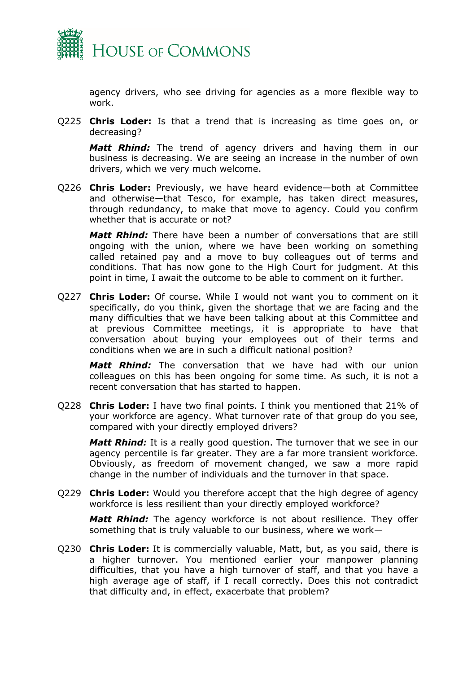

agency drivers, who see driving for agencies as a more flexible way to work.

Q225 **Chris Loder:** Is that a trend that is increasing as time goes on, or decreasing?

*Matt Rhind:* The trend of agency drivers and having them in our business is decreasing. We are seeing an increase in the number of own drivers, which we very much welcome.

Q226 **Chris Loder:** Previously, we have heard evidence—both at Committee and otherwise—that Tesco, for example, has taken direct measures, through redundancy, to make that move to agency. Could you confirm whether that is accurate or not?

*Matt Rhind:* There have been a number of conversations that are still ongoing with the union, where we have been working on something called retained pay and a move to buy colleagues out of terms and conditions. That has now gone to the High Court for judgment. At this point in time, I await the outcome to be able to comment on it further.

Q227 **Chris Loder:** Of course. While I would not want you to comment on it specifically, do you think, given the shortage that we are facing and the many difficulties that we have been talking about at this Committee and at previous Committee meetings, it is appropriate to have that conversation about buying your employees out of their terms and conditions when we are in such a difficult national position?

*Matt Rhind:* The conversation that we have had with our union colleagues on this has been ongoing for some time. As such, it is not a recent conversation that has started to happen.

Q228 **Chris Loder:** I have two final points. I think you mentioned that 21% of your workforce are agency. What turnover rate of that group do you see, compared with your directly employed drivers?

*Matt Rhind:* It is a really good question. The turnover that we see in our agency percentile is far greater. They are a far more transient workforce. Obviously, as freedom of movement changed, we saw a more rapid change in the number of individuals and the turnover in that space.

Q229 **Chris Loder:** Would you therefore accept that the high degree of agency workforce is less resilient than your directly employed workforce?

*Matt Rhind:* The agency workforce is not about resilience. They offer something that is truly valuable to our business, where we work—

Q230 **Chris Loder:** It is commercially valuable, Matt, but, as you said, there is a higher turnover. You mentioned earlier your manpower planning difficulties, that you have a high turnover of staff, and that you have a high average age of staff, if I recall correctly. Does this not contradict that difficulty and, in effect, exacerbate that problem?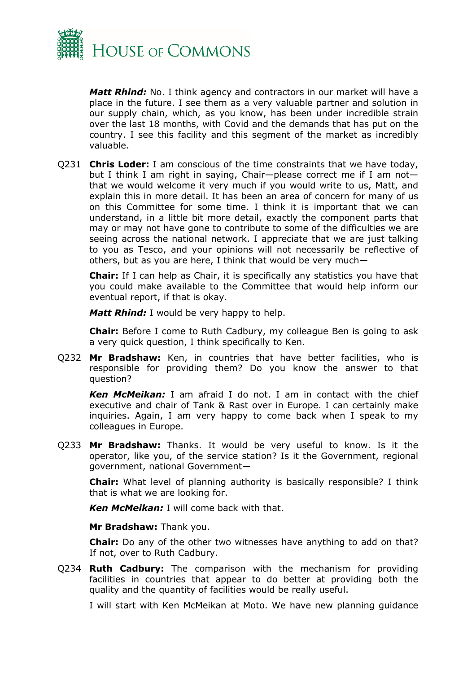

*Matt Rhind:* No. I think agency and contractors in our market will have a place in the future. I see them as a very valuable partner and solution in our supply chain, which, as you know, has been under incredible strain over the last 18 months, with Covid and the demands that has put on the country. I see this facility and this segment of the market as incredibly valuable.

Q231 **Chris Loder:** I am conscious of the time constraints that we have today, but I think I am right in saying, Chair—please correct me if I am not that we would welcome it very much if you would write to us, Matt, and explain this in more detail. It has been an area of concern for many of us on this Committee for some time. I think it is important that we can understand, in a little bit more detail, exactly the component parts that may or may not have gone to contribute to some of the difficulties we are seeing across the national network. I appreciate that we are just talking to you as Tesco, and your opinions will not necessarily be reflective of others, but as you are here, I think that would be very much—

**Chair:** If I can help as Chair, it is specifically any statistics you have that you could make available to the Committee that would help inform our eventual report, if that is okay.

*Matt Rhind:* I would be very happy to help.

**Chair:** Before I come to Ruth Cadbury, my colleague Ben is going to ask a very quick question, I think specifically to Ken.

Q232 **Mr Bradshaw:** Ken, in countries that have better facilities, who is responsible for providing them? Do you know the answer to that question?

*Ken McMeikan:* I am afraid I do not. I am in contact with the chief executive and chair of Tank & Rast over in Europe. I can certainly make inquiries. Again, I am very happy to come back when I speak to my colleagues in Europe.

Q233 **Mr Bradshaw:** Thanks. It would be very useful to know. Is it the operator, like you, of the service station? Is it the Government, regional government, national Government—

**Chair:** What level of planning authority is basically responsible? I think that is what we are looking for.

*Ken McMeikan:* I will come back with that.

**Mr Bradshaw:** Thank you.

**Chair:** Do any of the other two witnesses have anything to add on that? If not, over to Ruth Cadbury.

Q234 **Ruth Cadbury:** The comparison with the mechanism for providing facilities in countries that appear to do better at providing both the quality and the quantity of facilities would be really useful.

I will start with Ken McMeikan at Moto. We have new planning guidance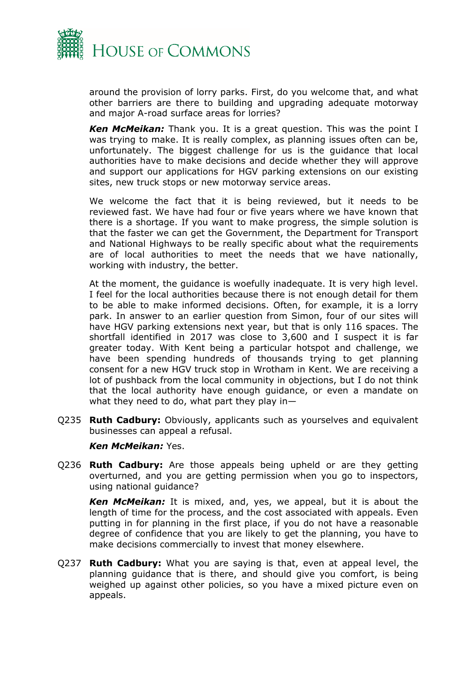

around the provision of lorry parks. First, do you welcome that, and what other barriers are there to building and upgrading adequate motorway and major A-road surface areas for lorries?

*Ken McMeikan:* Thank you. It is a great question. This was the point I was trying to make. It is really complex, as planning issues often can be, unfortunately. The biggest challenge for us is the guidance that local authorities have to make decisions and decide whether they will approve and support our applications for HGV parking extensions on our existing sites, new truck stops or new motorway service areas.

We welcome the fact that it is being reviewed, but it needs to be reviewed fast. We have had four or five years where we have known that there is a shortage. If you want to make progress, the simple solution is that the faster we can get the Government, the Department for Transport and National Highways to be really specific about what the requirements are of local authorities to meet the needs that we have nationally, working with industry, the better.

At the moment, the guidance is woefully inadequate. It is very high level. I feel for the local authorities because there is not enough detail for them to be able to make informed decisions. Often, for example, it is a lorry park. In answer to an earlier question from Simon, four of our sites will have HGV parking extensions next year, but that is only 116 spaces. The shortfall identified in 2017 was close to 3,600 and I suspect it is far greater today. With Kent being a particular hotspot and challenge, we have been spending hundreds of thousands trying to get planning consent for a new HGV truck stop in Wrotham in Kent. We are receiving a lot of pushback from the local community in objections, but I do not think that the local authority have enough guidance, or even a mandate on what they need to do, what part they play in—

Q235 **Ruth Cadbury:** Obviously, applicants such as yourselves and equivalent businesses can appeal a refusal.

### *Ken McMeikan:* Yes.

Q236 **Ruth Cadbury:** Are those appeals being upheld or are they getting overturned, and you are getting permission when you go to inspectors, using national guidance?

*Ken McMeikan:* It is mixed, and, yes, we appeal, but it is about the length of time for the process, and the cost associated with appeals. Even putting in for planning in the first place, if you do not have a reasonable degree of confidence that you are likely to get the planning, you have to make decisions commercially to invest that money elsewhere.

Q237 **Ruth Cadbury:** What you are saying is that, even at appeal level, the planning guidance that is there, and should give you comfort, is being weighed up against other policies, so you have a mixed picture even on appeals.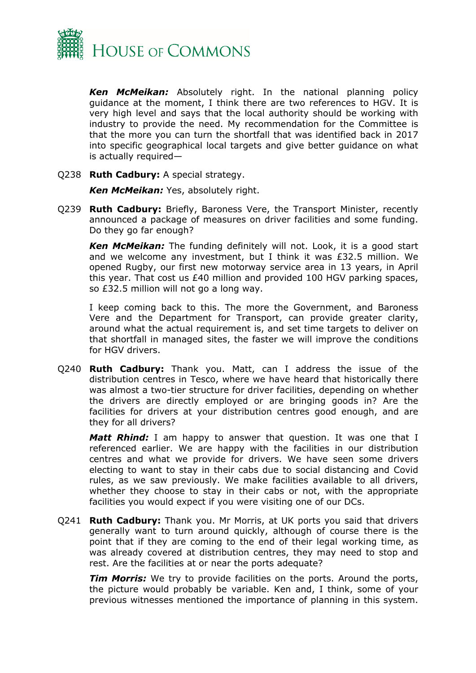

*Ken McMeikan:* Absolutely right. In the national planning policy guidance at the moment, I think there are two references to HGV. It is very high level and says that the local authority should be working with industry to provide the need. My recommendation for the Committee is that the more you can turn the shortfall that was identified back in 2017 into specific geographical local targets and give better guidance on what is actually required—

Q238 **Ruth Cadbury:** A special strategy.

*Ken McMeikan:* Yes, absolutely right.

Q239 **Ruth Cadbury:** Briefly, Baroness Vere, the Transport Minister, recently announced a package of measures on driver facilities and some funding. Do they go far enough?

*Ken McMeikan:* The funding definitely will not. Look, it is a good start and we welcome any investment, but I think it was £32.5 million. We opened Rugby, our first new motorway service area in 13 years, in April this year. That cost us £40 million and provided 100 HGV parking spaces, so £32.5 million will not go a long way.

I keep coming back to this. The more the Government, and Baroness Vere and the Department for Transport, can provide greater clarity, around what the actual requirement is, and set time targets to deliver on that shortfall in managed sites, the faster we will improve the conditions for HGV drivers.

Q240 **Ruth Cadbury:** Thank you. Matt, can I address the issue of the distribution centres in Tesco, where we have heard that historically there was almost a two-tier structure for driver facilities, depending on whether the drivers are directly employed or are bringing goods in? Are the facilities for drivers at your distribution centres good enough, and are they for all drivers?

*Matt Rhind:* I am happy to answer that question. It was one that I referenced earlier. We are happy with the facilities in our distribution centres and what we provide for drivers. We have seen some drivers electing to want to stay in their cabs due to social distancing and Covid rules, as we saw previously. We make facilities available to all drivers, whether they choose to stay in their cabs or not, with the appropriate facilities you would expect if you were visiting one of our DCs.

Q241 **Ruth Cadbury:** Thank you. Mr Morris, at UK ports you said that drivers generally want to turn around quickly, although of course there is the point that if they are coming to the end of their legal working time, as was already covered at distribution centres, they may need to stop and rest. Are the facilities at or near the ports adequate?

*Tim Morris:* We try to provide facilities on the ports. Around the ports, the picture would probably be variable. Ken and, I think, some of your previous witnesses mentioned the importance of planning in this system.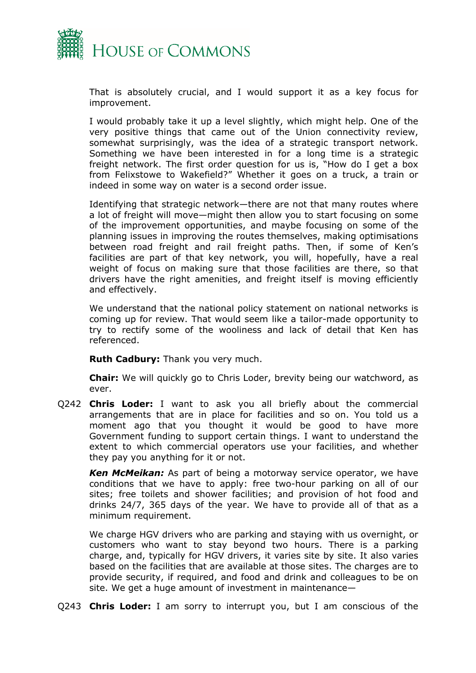

That is absolutely crucial, and I would support it as a key focus for improvement.

I would probably take it up a level slightly, which might help. One of the very positive things that came out of the Union connectivity review, somewhat surprisingly, was the idea of a strategic transport network. Something we have been interested in for a long time is a strategic freight network. The first order question for us is, "How do I get a box from Felixstowe to Wakefield?" Whether it goes on a truck, a train or indeed in some way on water is a second order issue.

Identifying that strategic network—there are not that many routes where a lot of freight will move—might then allow you to start focusing on some of the improvement opportunities, and maybe focusing on some of the planning issues in improving the routes themselves, making optimisations between road freight and rail freight paths. Then, if some of Ken's facilities are part of that key network, you will, hopefully, have a real weight of focus on making sure that those facilities are there, so that drivers have the right amenities, and freight itself is moving efficiently and effectively.

We understand that the national policy statement on national networks is coming up for review. That would seem like a tailor-made opportunity to try to rectify some of the wooliness and lack of detail that Ken has referenced.

**Ruth Cadbury:** Thank you very much.

**Chair:** We will quickly go to Chris Loder, brevity being our watchword, as ever.

Q242 **Chris Loder:** I want to ask you all briefly about the commercial arrangements that are in place for facilities and so on. You told us a moment ago that you thought it would be good to have more Government funding to support certain things. I want to understand the extent to which commercial operators use your facilities, and whether they pay you anything for it or not.

*Ken McMeikan:* As part of being a motorway service operator, we have conditions that we have to apply: free two-hour parking on all of our sites; free toilets and shower facilities; and provision of hot food and drinks 24/7, 365 days of the year. We have to provide all of that as a minimum requirement.

We charge HGV drivers who are parking and staying with us overnight, or customers who want to stay beyond two hours. There is a parking charge, and, typically for HGV drivers, it varies site by site. It also varies based on the facilities that are available at those sites. The charges are to provide security, if required, and food and drink and colleagues to be on site. We get a huge amount of investment in maintenance—

Q243 **Chris Loder:** I am sorry to interrupt you, but I am conscious of the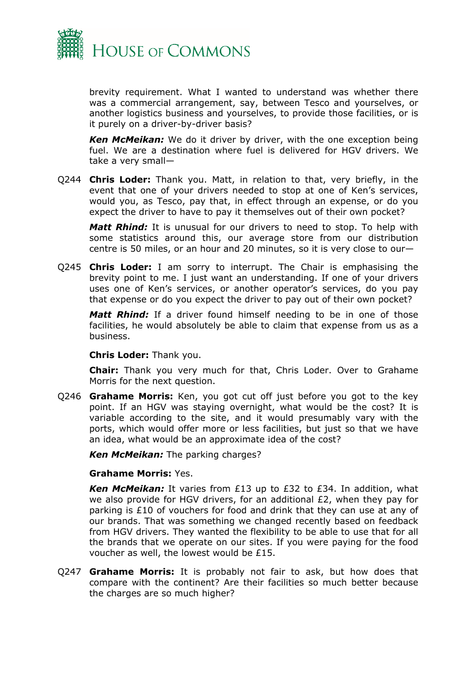

brevity requirement. What I wanted to understand was whether there was a commercial arrangement, say, between Tesco and yourselves, or another logistics business and yourselves, to provide those facilities, or is it purely on a driver-by-driver basis?

*Ken McMeikan:* We do it driver by driver, with the one exception being fuel. We are a destination where fuel is delivered for HGV drivers. We take a very small—

Q244 **Chris Loder:** Thank you. Matt, in relation to that, very briefly, in the event that one of your drivers needed to stop at one of Ken's services, would you, as Tesco, pay that, in effect through an expense, or do you expect the driver to have to pay it themselves out of their own pocket?

*Matt Rhind:* It is unusual for our drivers to need to stop. To help with some statistics around this, our average store from our distribution centre is 50 miles, or an hour and 20 minutes, so it is very close to our—

Q245 **Chris Loder:** I am sorry to interrupt. The Chair is emphasising the brevity point to me. I just want an understanding. If one of your drivers uses one of Ken's services, or another operator's services, do you pay that expense or do you expect the driver to pay out of their own pocket?

*Matt Rhind:* If a driver found himself needing to be in one of those facilities, he would absolutely be able to claim that expense from us as a business.

### **Chris Loder:** Thank you.

**Chair:** Thank you very much for that, Chris Loder. Over to Grahame Morris for the next question.

Q246 **Grahame Morris:** Ken, you got cut off just before you got to the key point. If an HGV was staying overnight, what would be the cost? It is variable according to the site, and it would presumably vary with the ports, which would offer more or less facilities, but just so that we have an idea, what would be an approximate idea of the cost?

*Ken McMeikan:* The parking charges?

## **Grahame Morris:** Yes.

*Ken McMeikan:* It varies from £13 up to £32 to £34. In addition, what we also provide for HGV drivers, for an additional £2, when they pay for parking is £10 of vouchers for food and drink that they can use at any of our brands. That was something we changed recently based on feedback from HGV drivers. They wanted the flexibility to be able to use that for all the brands that we operate on our sites. If you were paying for the food voucher as well, the lowest would be £15.

Q247 **Grahame Morris:** It is probably not fair to ask, but how does that compare with the continent? Are their facilities so much better because the charges are so much higher?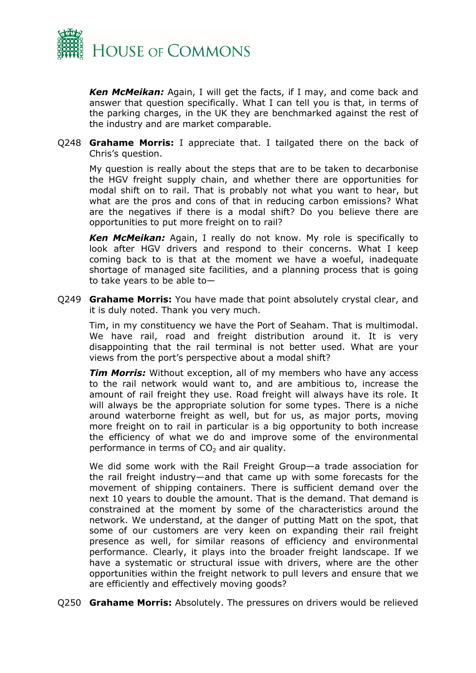

*Ken McMeikan:* Again, I will get the facts, if I may, and come back and answer that question specifically. What I can tell you is that, in terms of the parking charges, in the UK they are benchmarked against the rest of the industry and are market comparable.

Q248 **Grahame Morris:** I appreciate that. I tailgated there on the back of Chris's question.

My question is really about the steps that are to be taken to decarbonise the HGV freight supply chain, and whether there are opportunities for modal shift on to rail. That is probably not what you want to hear, but what are the pros and cons of that in reducing carbon emissions? What are the negatives if there is a modal shift? Do you believe there are opportunities to put more freight on to rail?

*Ken McMeikan:* Again, I really do not know. My role is specifically to look after HGV drivers and respond to their concerns. What I keep coming back to is that at the moment we have a woeful, inadequate shortage of managed site facilities, and a planning process that is going to take years to be able to—

Q249 **Grahame Morris:** You have made that point absolutely crystal clear, and it is duly noted. Thank you very much.

Tim, in my constituency we have the Port of Seaham. That is multimodal. We have rail, road and freight distribution around it. It is very disappointing that the rail terminal is not better used. What are your views from the port's perspective about a modal shift?

*Tim Morris:* Without exception, all of my members who have any access to the rail network would want to, and are ambitious to, increase the amount of rail freight they use. Road freight will always have its role. It will always be the appropriate solution for some types. There is a niche around waterborne freight as well, but for us, as major ports, moving more freight on to rail in particular is a big opportunity to both increase the efficiency of what we do and improve some of the environmental performance in terms of  $CO<sub>2</sub>$  and air quality.

We did some work with the Rail Freight Group—a trade association for the rail freight industry—and that came up with some forecasts for the movement of shipping containers. There is sufficient demand over the next 10 years to double the amount. That is the demand. That demand is constrained at the moment by some of the characteristics around the network. We understand, at the danger of putting Matt on the spot, that some of our customers are very keen on expanding their rail freight presence as well, for similar reasons of efficiency and environmental performance. Clearly, it plays into the broader freight landscape. If we have a systematic or structural issue with drivers, where are the other opportunities within the freight network to pull levers and ensure that we are efficiently and effectively moving goods?

Q250 **Grahame Morris:** Absolutely. The pressures on drivers would be relieved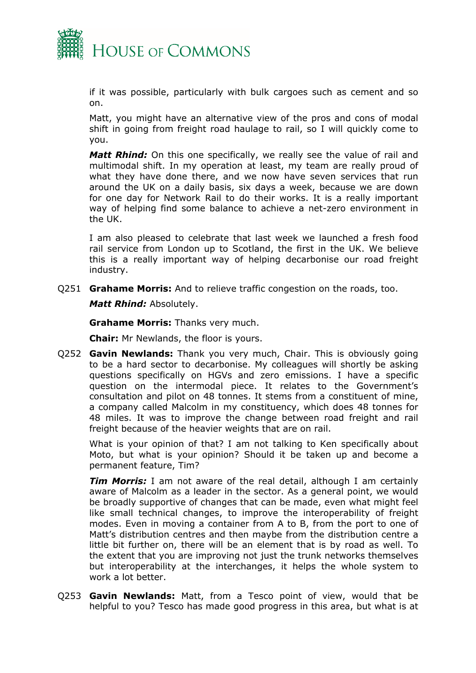

if it was possible, particularly with bulk cargoes such as cement and so on.

Matt, you might have an alternative view of the pros and cons of modal shift in going from freight road haulage to rail, so I will quickly come to you.

*Matt Rhind:* On this one specifically, we really see the value of rail and multimodal shift. In my operation at least, my team are really proud of what they have done there, and we now have seven services that run around the UK on a daily basis, six days a week, because we are down for one day for Network Rail to do their works. It is a really important way of helping find some balance to achieve a net-zero environment in the UK.

I am also pleased to celebrate that last week we launched a fresh food rail service from London up to Scotland, the first in the UK. We believe this is a really important way of helping decarbonise our road freight industry.

Q251 **Grahame Morris:** And to relieve traffic congestion on the roads, too.

*Matt Rhind:* Absolutely.

**Grahame Morris:** Thanks very much.

**Chair:** Mr Newlands, the floor is yours.

Q252 **Gavin Newlands:** Thank you very much, Chair. This is obviously going to be a hard sector to decarbonise. My colleagues will shortly be asking questions specifically on HGVs and zero emissions. I have a specific question on the intermodal piece. It relates to the Government's consultation and pilot on 48 tonnes. It stems from a constituent of mine, a company called Malcolm in my constituency, which does 48 tonnes for 48 miles. It was to improve the change between road freight and rail freight because of the heavier weights that are on rail.

What is your opinion of that? I am not talking to Ken specifically about Moto, but what is your opinion? Should it be taken up and become a permanent feature, Tim?

**Tim Morris:** I am not aware of the real detail, although I am certainly aware of Malcolm as a leader in the sector. As a general point, we would be broadly supportive of changes that can be made, even what might feel like small technical changes, to improve the interoperability of freight modes. Even in moving a container from A to B, from the port to one of Matt's distribution centres and then maybe from the distribution centre a little bit further on, there will be an element that is by road as well. To the extent that you are improving not just the trunk networks themselves but interoperability at the interchanges, it helps the whole system to work a lot better.

Q253 **Gavin Newlands:** Matt, from a Tesco point of view, would that be helpful to you? Tesco has made good progress in this area, but what is at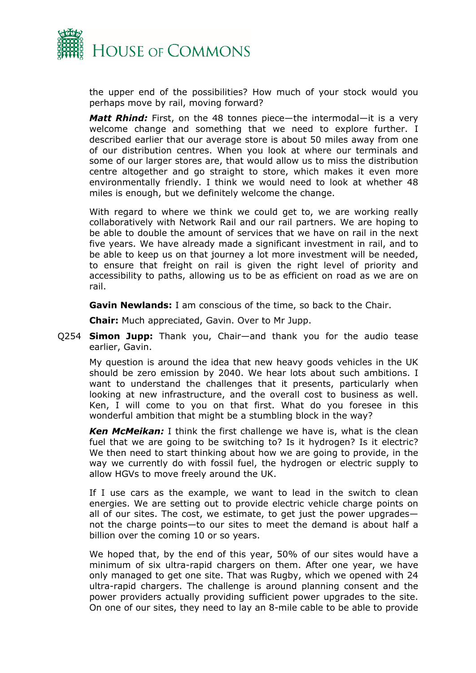

the upper end of the possibilities? How much of your stock would you perhaps move by rail, moving forward?

*Matt Rhind:* First, on the 48 tonnes piece—the intermodal—it is a very welcome change and something that we need to explore further. I described earlier that our average store is about 50 miles away from one of our distribution centres. When you look at where our terminals and some of our larger stores are, that would allow us to miss the distribution centre altogether and go straight to store, which makes it even more environmentally friendly. I think we would need to look at whether 48 miles is enough, but we definitely welcome the change.

With regard to where we think we could get to, we are working really collaboratively with Network Rail and our rail partners. We are hoping to be able to double the amount of services that we have on rail in the next five years. We have already made a significant investment in rail, and to be able to keep us on that journey a lot more investment will be needed, to ensure that freight on rail is given the right level of priority and accessibility to paths, allowing us to be as efficient on road as we are on rail.

**Gavin Newlands:** I am conscious of the time, so back to the Chair.

**Chair:** Much appreciated, Gavin. Over to Mr Jupp.

Q254 **Simon Jupp:** Thank you, Chair—and thank you for the audio tease earlier, Gavin.

My question is around the idea that new heavy goods vehicles in the UK should be zero emission by 2040. We hear lots about such ambitions. I want to understand the challenges that it presents, particularly when looking at new infrastructure, and the overall cost to business as well. Ken, I will come to you on that first. What do you foresee in this wonderful ambition that might be a stumbling block in the way?

*Ken McMeikan:* I think the first challenge we have is, what is the clean fuel that we are going to be switching to? Is it hydrogen? Is it electric? We then need to start thinking about how we are going to provide, in the way we currently do with fossil fuel, the hydrogen or electric supply to allow HGVs to move freely around the UK.

If I use cars as the example, we want to lead in the switch to clean energies. We are setting out to provide electric vehicle charge points on all of our sites. The cost, we estimate, to get just the power upgrades not the charge points—to our sites to meet the demand is about half a billion over the coming 10 or so years.

We hoped that, by the end of this year, 50% of our sites would have a minimum of six ultra-rapid chargers on them. After one year, we have only managed to get one site. That was Rugby, which we opened with 24 ultra-rapid chargers. The challenge is around planning consent and the power providers actually providing sufficient power upgrades to the site. On one of our sites, they need to lay an 8-mile cable to be able to provide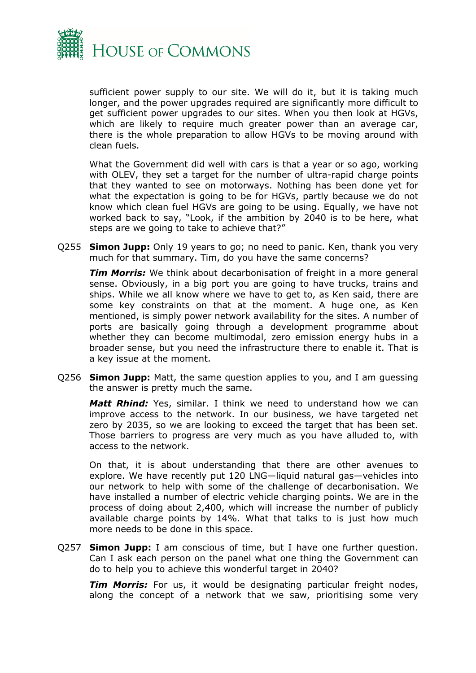

sufficient power supply to our site. We will do it, but it is taking much longer, and the power upgrades required are significantly more difficult to get sufficient power upgrades to our sites. When you then look at HGVs, which are likely to require much greater power than an average car, there is the whole preparation to allow HGVs to be moving around with clean fuels.

What the Government did well with cars is that a year or so ago, working with OLEV, they set a target for the number of ultra-rapid charge points that they wanted to see on motorways. Nothing has been done yet for what the expectation is going to be for HGVs, partly because we do not know which clean fuel HGVs are going to be using. Equally, we have not worked back to say, "Look, if the ambition by 2040 is to be here, what steps are we going to take to achieve that?"

Q255 **Simon Jupp:** Only 19 years to go; no need to panic. Ken, thank you very much for that summary. Tim, do you have the same concerns?

**Tim Morris:** We think about decarbonisation of freight in a more general sense. Obviously, in a big port you are going to have trucks, trains and ships. While we all know where we have to get to, as Ken said, there are some key constraints on that at the moment. A huge one, as Ken mentioned, is simply power network availability for the sites. A number of ports are basically going through a development programme about whether they can become multimodal, zero emission energy hubs in a broader sense, but you need the infrastructure there to enable it. That is a key issue at the moment.

Q256 **Simon Jupp:** Matt, the same question applies to you, and I am guessing the answer is pretty much the same.

*Matt Rhind:* Yes, similar. I think we need to understand how we can improve access to the network. In our business, we have targeted net zero by 2035, so we are looking to exceed the target that has been set. Those barriers to progress are very much as you have alluded to, with access to the network.

On that, it is about understanding that there are other avenues to explore. We have recently put 120 LNG—liquid natural gas—vehicles into our network to help with some of the challenge of decarbonisation. We have installed a number of electric vehicle charging points. We are in the process of doing about 2,400, which will increase the number of publicly available charge points by 14%. What that talks to is just how much more needs to be done in this space.

Q257 **Simon Jupp:** I am conscious of time, but I have one further question. Can I ask each person on the panel what one thing the Government can do to help you to achieve this wonderful target in 2040?

*Tim Morris:* For us, it would be designating particular freight nodes, along the concept of a network that we saw, prioritising some very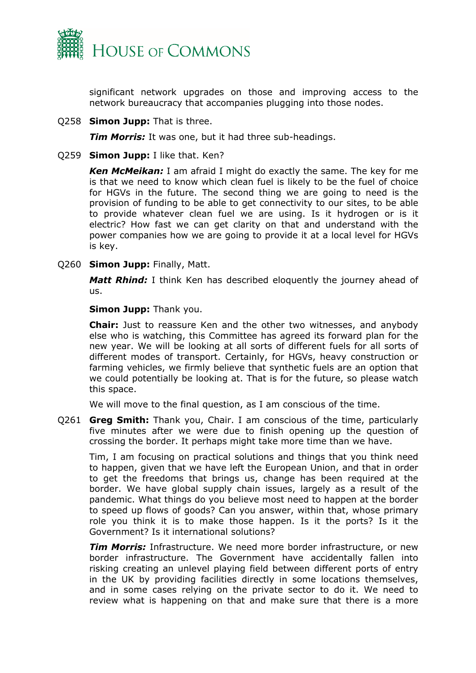

significant network upgrades on those and improving access to the network bureaucracy that accompanies plugging into those nodes.

Q258 **Simon Jupp:** That is three.

*Tim Morris:* It was one, but it had three sub-headings.

Q259 **Simon Jupp:** I like that. Ken?

*Ken McMeikan:* I am afraid I might do exactly the same. The key for me is that we need to know which clean fuel is likely to be the fuel of choice for HGVs in the future. The second thing we are going to need is the provision of funding to be able to get connectivity to our sites, to be able to provide whatever clean fuel we are using. Is it hydrogen or is it electric? How fast we can get clarity on that and understand with the power companies how we are going to provide it at a local level for HGVs is key.

Q260 **Simon Jupp:** Finally, Matt.

*Matt Rhind:* I think Ken has described eloquently the journey ahead of us.

**Simon Jupp:** Thank you.

**Chair:** Just to reassure Ken and the other two witnesses, and anybody else who is watching, this Committee has agreed its forward plan for the new year. We will be looking at all sorts of different fuels for all sorts of different modes of transport. Certainly, for HGVs, heavy construction or farming vehicles, we firmly believe that synthetic fuels are an option that we could potentially be looking at. That is for the future, so please watch this space.

We will move to the final question, as I am conscious of the time.

Q261 **Greg Smith:** Thank you, Chair. I am conscious of the time, particularly five minutes after we were due to finish opening up the question of crossing the border. It perhaps might take more time than we have.

Tim, I am focusing on practical solutions and things that you think need to happen, given that we have left the European Union, and that in order to get the freedoms that brings us, change has been required at the border. We have global supply chain issues, largely as a result of the pandemic. What things do you believe most need to happen at the border to speed up flows of goods? Can you answer, within that, whose primary role you think it is to make those happen. Is it the ports? Is it the Government? Is it international solutions?

*Tim Morris:* Infrastructure. We need more border infrastructure, or new border infrastructure. The Government have accidentally fallen into risking creating an unlevel playing field between different ports of entry in the UK by providing facilities directly in some locations themselves, and in some cases relying on the private sector to do it. We need to review what is happening on that and make sure that there is a more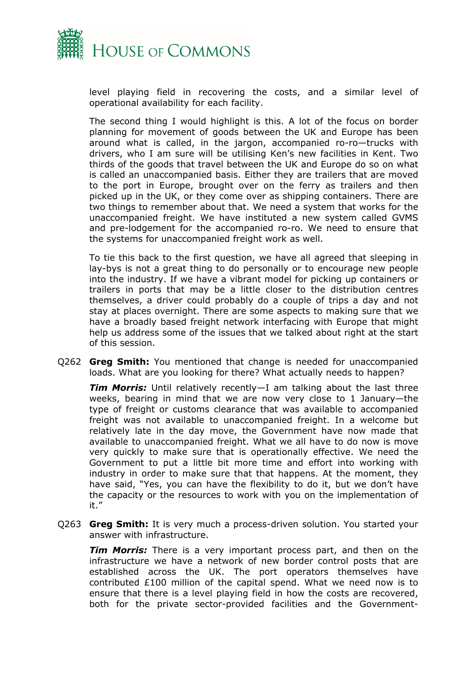

level playing field in recovering the costs, and a similar level of operational availability for each facility.

The second thing I would highlight is this. A lot of the focus on border planning for movement of goods between the UK and Europe has been around what is called, in the jargon, accompanied ro-ro—trucks with drivers, who I am sure will be utilising Ken's new facilities in Kent. Two thirds of the goods that travel between the UK and Europe do so on what is called an unaccompanied basis. Either they are trailers that are moved to the port in Europe, brought over on the ferry as trailers and then picked up in the UK, or they come over as shipping containers. There are two things to remember about that. We need a system that works for the unaccompanied freight. We have instituted a new system called GVMS and pre-lodgement for the accompanied ro-ro. We need to ensure that the systems for unaccompanied freight work as well.

To tie this back to the first question, we have all agreed that sleeping in lay-bys is not a great thing to do personally or to encourage new people into the industry. If we have a vibrant model for picking up containers or trailers in ports that may be a little closer to the distribution centres themselves, a driver could probably do a couple of trips a day and not stay at places overnight. There are some aspects to making sure that we have a broadly based freight network interfacing with Europe that might help us address some of the issues that we talked about right at the start of this session.

Q262 **Greg Smith:** You mentioned that change is needed for unaccompanied loads. What are you looking for there? What actually needs to happen?

*Tim Morris:* Until relatively recently—I am talking about the last three weeks, bearing in mind that we are now very close to 1 January—the type of freight or customs clearance that was available to accompanied freight was not available to unaccompanied freight. In a welcome but relatively late in the day move, the Government have now made that available to unaccompanied freight. What we all have to do now is move very quickly to make sure that is operationally effective. We need the Government to put a little bit more time and effort into working with industry in order to make sure that that happens. At the moment, they have said, "Yes, you can have the flexibility to do it, but we don't have the capacity or the resources to work with you on the implementation of it."

Q263 **Greg Smith:** It is very much a process-driven solution. You started your answer with infrastructure.

*Tim Morris:* There is a very important process part, and then on the infrastructure we have a network of new border control posts that are established across the UK. The port operators themselves have contributed £100 million of the capital spend. What we need now is to ensure that there is a level playing field in how the costs are recovered, both for the private sector-provided facilities and the Government-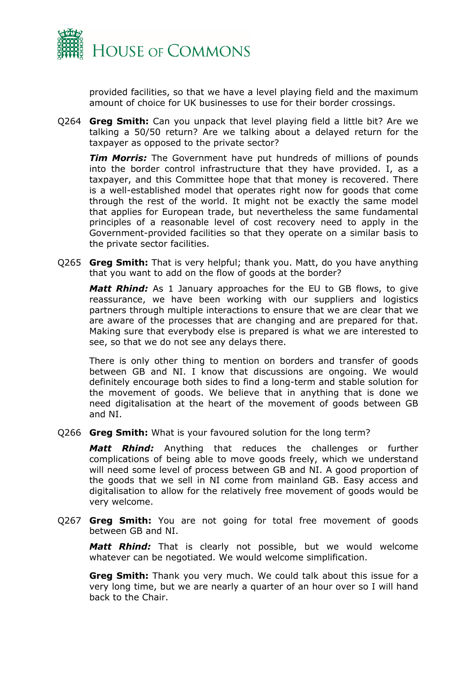

provided facilities, so that we have a level playing field and the maximum amount of choice for UK businesses to use for their border crossings.

Q264 **Greg Smith:** Can you unpack that level playing field a little bit? Are we talking a 50/50 return? Are we talking about a delayed return for the taxpayer as opposed to the private sector?

**Tim Morris:** The Government have put hundreds of millions of pounds into the border control infrastructure that they have provided. I, as a taxpayer, and this Committee hope that that money is recovered. There is a well-established model that operates right now for goods that come through the rest of the world. It might not be exactly the same model that applies for European trade, but nevertheless the same fundamental principles of a reasonable level of cost recovery need to apply in the Government-provided facilities so that they operate on a similar basis to the private sector facilities.

Q265 **Greg Smith:** That is very helpful; thank you. Matt, do you have anything that you want to add on the flow of goods at the border?

*Matt Rhind:* As 1 January approaches for the EU to GB flows, to give reassurance, we have been working with our suppliers and logistics partners through multiple interactions to ensure that we are clear that we are aware of the processes that are changing and are prepared for that. Making sure that everybody else is prepared is what we are interested to see, so that we do not see any delays there.

There is only other thing to mention on borders and transfer of goods between GB and NI. I know that discussions are ongoing. We would definitely encourage both sides to find a long-term and stable solution for the movement of goods. We believe that in anything that is done we need digitalisation at the heart of the movement of goods between GB and NI.

Q266 **Greg Smith:** What is your favoured solution for the long term?

*Matt Rhind:* Anything that reduces the challenges or further complications of being able to move goods freely, which we understand will need some level of process between GB and NI. A good proportion of the goods that we sell in NI come from mainland GB. Easy access and digitalisation to allow for the relatively free movement of goods would be very welcome.

Q267 **Greg Smith:** You are not going for total free movement of goods between GB and NI.

*Matt Rhind:* That is clearly not possible, but we would welcome whatever can be negotiated. We would welcome simplification.

**Greg Smith:** Thank you very much. We could talk about this issue for a very long time, but we are nearly a quarter of an hour over so I will hand back to the Chair.